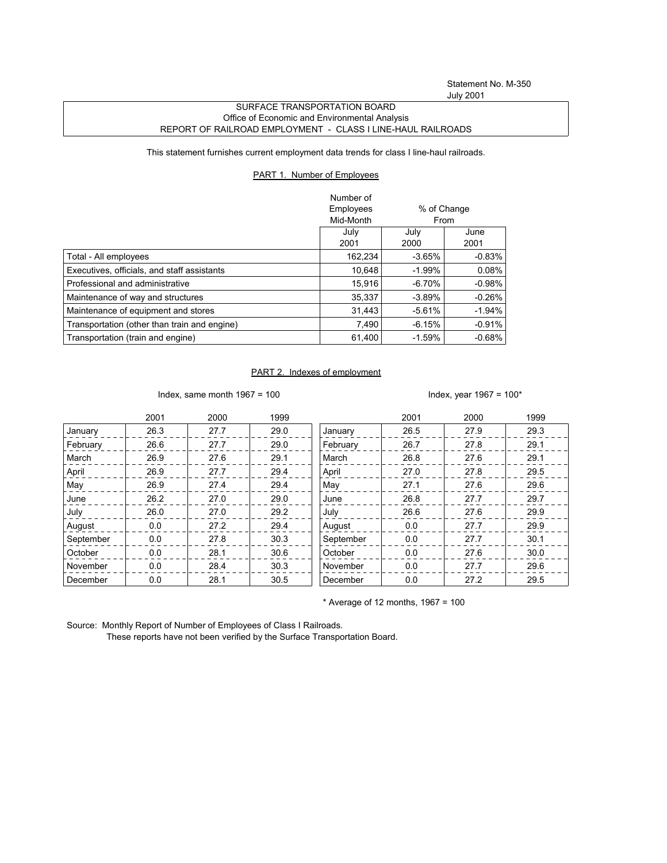## SURFACE TRANSPORTATION BOARD Office of Economic and Environmental Analysis REPORT OF RAILROAD EMPLOYMENT - CLASS I LINE-HAUL RAILROADS

This statement furnishes current employment data trends for class I line-haul railroads.

## PART 1. Number of Employees

|                                              | Number of |             |          |
|----------------------------------------------|-----------|-------------|----------|
|                                              | Employees | % of Change |          |
|                                              | Mid-Month |             | From     |
|                                              | July      | July        | June     |
|                                              | 2001      | 2000        | 2001     |
| Total - All employees                        | 162,234   | $-3.65%$    | $-0.83%$ |
| Executives, officials, and staff assistants  | 10.648    | $-1.99%$    | 0.08%    |
| Professional and administrative              | 15.916    | $-6.70%$    | $-0.98%$ |
| Maintenance of way and structures            | 35,337    | $-3.89%$    | $-0.26%$ |
| Maintenance of equipment and stores          | 31.443    | $-5.61%$    | $-1.94%$ |
| Transportation (other than train and engine) | 7,490     | $-6.15%$    | $-0.91%$ |
| Transportation (train and engine)            | 61,400    | $-1.59%$    | $-0.68%$ |

## PART 2. Indexes of employment

Index, same month 1967 = 100  $\blacksquare$ 

|           | 2001 | 2000 | 1999 |           | 2001 | 2000 | 1999 |
|-----------|------|------|------|-----------|------|------|------|
| January   | 26.3 | 27.7 | 29.0 | January   | 26.5 | 27.9 | 29.3 |
| February  | 26.6 | 27.7 | 29.0 | February  | 26.7 | 27.8 | 29.1 |
| March     | 26.9 | 27.6 | 29.1 | March     | 26.8 | 27.6 | 29.1 |
| April     | 26.9 | 27.7 | 29.4 | April     | 27.0 | 27.8 | 29.5 |
| May       | 26.9 | 27.4 | 29.4 | May       | 27.1 | 27.6 | 29.6 |
| June      | 26.2 | 27.0 | 29.0 | June      | 26.8 | 27.7 | 29.7 |
| July      | 26.0 | 27.0 | 29.2 | July      | 26.6 | 27.6 | 29.9 |
| August    | 0.0  | 27.2 | 29.4 | August    | 0.0  | 27.7 | 29.9 |
| September | 0.0  | 27.8 | 30.3 | September | 0.0  | 27.7 | 30.1 |
| October   | 0.0  | 28.1 | 30.6 | October   | 0.0  | 27.6 | 30.0 |
| November  | 0.0  | 28.4 | 30.3 | November  | 0.0  | 27.7 | 29.6 |
| December  | 0.0  | 28.1 | 30.5 | December  | 0.0  | 27.2 | 29.5 |

 $*$  Average of 12 months, 1967 = 100

Source: Monthly Report of Number of Employees of Class I Railroads.

These reports have not been verified by the Surface Transportation Board.